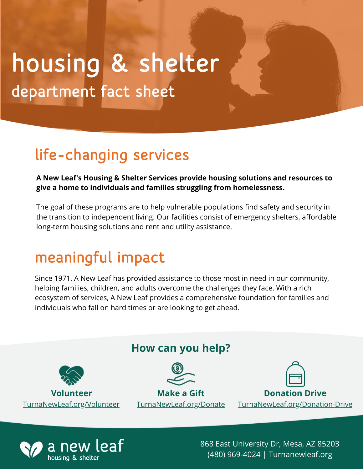# department fact sheet housing & shelter

### life-changing services

#### **A New Leaf's Housing & Shelter Services provide housing solutions and resources to give a home to individuals and families struggling from homelessness.**

The goal of these programs are to help vulnerable populations find safety and security in the transition to independent living. Our facilities consist of emergency shelters, affordable long-term housing solutions and rent and utility assistance.

### meaningful impact

Since 1971, A New Leaf has provided assistance to those most in need in our community, helping families, children, and adults overcome the challenges they face. With a rich ecosystem of services, A New Leaf provides a comprehensive foundation for families and individuals who fall on hard times or are looking to get ahead.





868 East University Dr, Mesa, AZ 85203 (480) 969-4024 | Turnanewleaf.org